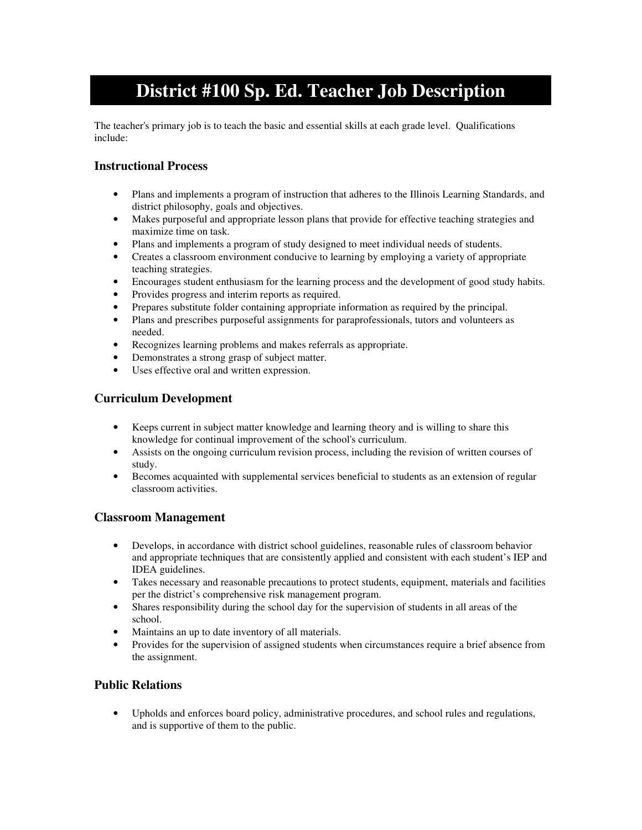# **District #100 Sp. Ed. Teacher Job Description**

The teacher's primary job is to teach the basic and essential skills at each grade level. Qualifications include:

## **Instructional Process**

- Plans and implements a program of instruction that adheres to the Illinois Learning Standards, and district philosophy, goals and objectives.
- Makes purposeful and appropriate lesson plans that provide for effective teaching strategies and maximize time on task.
- Plans and implements a program of study designed to meet individual needs of students.
- Creates a classroom environment conducive to learning by employing a variety of appropriate teaching strategies.
- Encourages student enthusiasm for the learning process and the development of good study habits.
- Provides progress and interim reports as required.
- Prepares substitute folder containing appropriate information as required by the principal.
- Plans and prescribes purposeful assignments for paraprofessionals, tutors and volunteers as needed.
- Recognizes learning problems and makes referrals as appropriate.
- Demonstrates a strong grasp of subject matter.
- Uses effective oral and written expression.

## **Curriculum Development**

- Keeps current in subject matter knowledge and learning theory and is willing to share this knowledge for continual improvement of the school's curriculum.
- Assists on the ongoing curriculum revision process, including the revision of written courses of study.
- Becomes acquainted with supplemental services beneficial to students as an extension of regular classroom activities.

#### **Classroom Management**

- Develops, in accordance with district school guidelines, reasonable rules of classroom behavior and appropriate techniques that are consistently applied and consistent with each student's IEP and IDEA guidelines.
- Takes necessary and reasonable precautions to protect students, equipment, materials and facilities per the district's comprehensive risk management program.
- Shares responsibility during the school day for the supervision of students in all areas of the school.
- Maintains an up to date inventory of all materials.
- Provides for the supervision of assigned students when circumstances require a brief absence from the assignment.

#### **Public Relations**

• Upholds and enforces board policy, administrative procedures, and school rules and regulations, and is supportive of them to the public.